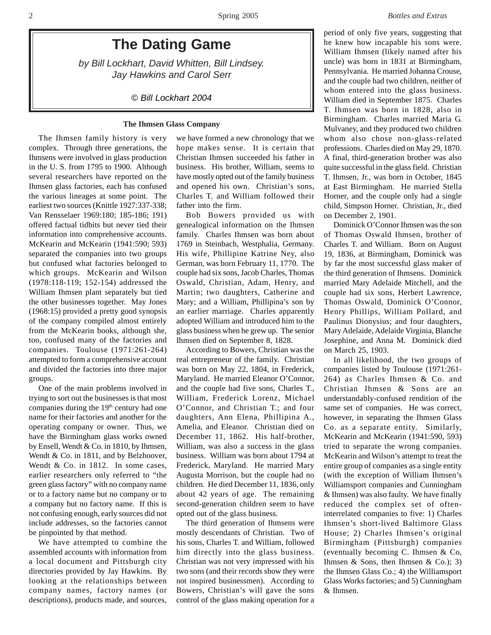# **The Dating Game**

*by Bill Lockhart, David Whitten, Bill Lindsey. Jay Hawkins and Carol Serr*

*© Bill Lockhart 2004*

### **The Ihmsen Glass Company**

The Ihmsen family history is very complex. Through three generations, the Ihmsens were involved in glass production in the U. S. from 1795 to 1900. Although several researchers have reported on the Ihmsen glass factories, each has confused the various lineages at some point. The earliest two sources (Knittle 1927:337-338; Van Rensselaer 1969:180; 185-186; 191) offered factual tidbits but never tied their information into comprehensive accounts. McKearin and McKearin (1941:590; 593) separated the companies into two groups but confused what factories belonged to which groups. McKearin and Wilson (1978:118-119; 152-154) addressed the William Ihmsen plant separately but tied the other businesses together. May Jones (1968:15) provided a pretty good synopsis of the company compiled almost entirely from the McKearin books, although she, too, confused many of the factories and companies. Toulouse (1971:261-264) attempted to form a comprehensive account and divided the factories into three major groups.

One of the main problems involved in trying to sort out the businesses is that most companies during the 19<sup>th</sup> century had one name for their factories and another for the operating company or owner. Thus, we have the Birmingham glass works owned by Ensell, Wendt & Co. in 1810, by Ihmsen, Wendt & Co. in 1811, and by Belzhoover, Wendt & Co. in 1812. In some cases, earlier researchers only referred to "the green glass factory" with no company name or to a factory name but no company or to a company but no factory name. If this is not confusing enough, early sources did not include addresses, so the factories cannot be pinpointed by that method.

We have attempted to combine the assembled accounts with information from a local document and Pittsburgh city directories provided by Jay Hawkins. By looking at the relationships between company names, factory names (or descriptions), products made, and sources,

we have formed a new chronology that we hope makes sense. It is certain that Christian Ihmsen succeeded his father in business. His brother, William, seems to have mostly opted out of the family business and opened his own. Christian's sons, Charles T. and William followed their father into the firm.

Bob Bowers provided us with genealogical information on the Ihmsen family. Charles Ihmsen was born about 1769 in Steinbach, Westphalia, Germany. His wife, Phillipine Katrine Ney, also German, was born February 11, 1770. The couple had six sons, Jacob Charles, Thomas Oswald, Christian, Adam, Henry, and Martin; two daughters, Catherine and Mary; and a William, Phillipina's son by an earlier marriage. Charles apparently adopted William and introduced him to the glass business when he grew up. The senior Ihmsen died on September 8, 1828.

According to Bowers, Christian was the real entrepreneur of the family. Christian was born on May 22, 1804, in Frederick, Maryland. He married Eleanor O'Connor, and the couple had five sons, Charles T., William, Frederick Lorenz, Michael O'Connor, and Christian T.; and four daughters, Ann Elena, Phillipina A., Amelia, and Eleanor. Christian died on December 11, 1862. His half-brother, William, was also a success in the glass business. William was born about 1794 at Frederick, Maryland. He married Mary Augusta Morrison, but the couple had no children. He died December 11, 1836, only about 42 years of age. The remaining second-generation children seem to have opted out of the glass business.

The third generation of Ihmsens were mostly descendants of Christian. Two of his sons, Charles T. and William, followed him directly into the glass business. Christian was not very impressed with his two sons (and their records show they were not inspired businessmen). According to Bowers, Christian's will gave the sons control of the glass making operation for a period of only five years, suggesting that he knew how incapable his sons were. William Ihmsen (likely named after his uncle) was born in 1831 at Birmingham, Pennsylvania. He married Johanna Crouse, and the couple had two children, neither of whom entered into the glass business. William died in September 1875. Charles T. Ihmsen was born in 1828, also in Birmingham. Charles married Maria G. Mulvaney, and they produced two children whom also chose non-glass-related professions. Charles died on May 29, 1870. A final, third-generation brother was also quite successful in the glass field. Christian T. Ihmsen, Jr., was born in October, 1845 at East Birmingham. He married Stella Horner, and the couple only had a single child, Simpson Horner. Christian, Jr., died on December 2, 1901.

Dominick O'Connor Ihmsen was the son of Thomas Oswald Ihmsen, brother of Charles T. and William. Born on August 19, 1836, at Birmingham, Dominick was by far the most successful glass maker of the third generation of Ihmsens. Dominick married Mary Adelaide Mitchell, and the couple had six sons, Herbert Lawrence, Thomas Oswald, Dominick O'Connor, Henry Phillips, William Pollard, and Paulinus Dionysius; and four daughters, Mary Adelaide, Adelaide Virginia, Blanche Josephine, and Anna M. Dominick died on March 25, 1903.

In all likelihood, the two groups of companies listed by Toulouse (1971:261- 264) as Charles Ihmsen & Co. and Christian Ihmsen & Sons are an understandably-confused rendition of the same set of companies. He was correct, however, in separating the Ihmsen Glass Co. as a separate entity. Similarly, McKearin and McKearin (1941:590, 593) tried to separate the wrong companies. McKearin and Wilson's attempt to treat the entire group of companies as a single entity (with the exception of William Ihmsen's Williamsport companies and Cunningham & Ihmsen) was also faulty. We have finally reduced the complex set of ofteninterrelated companies to five: 1) Charles Ihmsen's short-lived Baltimore Glass House; 2) Charles Ihmsen's original Birmingham (Pittsburgh) companies (eventually becoming C. Ihmsen & Co, Ihmsen & Sons, then Ihmsen & Co.); 3) the Ihmsen Glass Co.; 4) the Williamsport Glass Works factories; and 5) Cunningham & Ihmsen.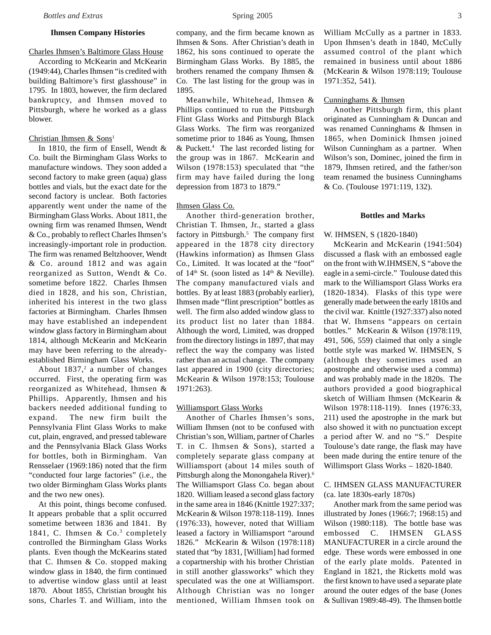# **Ihmsen Company Histories**

# Charles Ihmsen's Baltimore Glass House

According to McKearin and McKearin (1949:44), Charles Ihmsen "is credited with building Baltimore's first glasshouse" in 1795. In 1803, however, the firm declared bankruptcy, and Ihmsen moved to Pittsburgh, where he worked as a glass blower.

# Christian Ihmsen  $&$  Sons<sup>1</sup>

In 1810, the firm of Ensell, Wendt & Co. built the Birmingham Glass Works to manufacture windows. They soon added a second factory to make green (aqua) glass bottles and vials, but the exact date for the second factory is unclear. Both factories apparently went under the name of the Birmingham Glass Works. About 1811, the owning firm was renamed Ihmsen, Wendt & Co., probably to reflect Charles Ihmsen's increasingly-important role in production. The firm was renamed Beltzhoover, Wendt & Co. around 1812 and was again reorganized as Sutton, Wendt & Co. sometime before 1822. Charles Ihmsen died in 1828, and his son, Christian, inherited his interest in the two glass factories at Birmingham. Charles Ihmsen may have established an independent window glass factory in Birmingham about 1814, although McKearin and McKearin may have been referring to the alreadyestablished Birmingham Glass Works.

About  $1837$ ,<sup>2</sup> a number of changes occurred. First, the operating firm was reorganized as Whitehead, Ihmsen & Phillips. Apparently, Ihmsen and his backers needed additional funding to expand. The new firm built the Pennsylvania Flint Glass Works to make cut, plain, engraved, and pressed tableware and the Pennsylvania Black Glass Works for bottles, both in Birmingham. Van Rensselaer (1969:186) noted that the firm "conducted four large factories" (i.e., the two older Birmingham Glass Works plants and the two new ones).

At this point, things become confused. It appears probable that a split occurred sometime between 1836 and 1841. By 1841, C. Ihmsen & Co.<sup>3</sup> completely controlled the Birmingham Glass Works plants. Even though the McKearins stated that C. Ihmsen & Co. stopped making window glass in 1840, the firm continued to advertise window glass until at least 1870. About 1855, Christian brought his sons, Charles T. and William, into the

company, and the firm became known as Ihmsen & Sons. After Christian's death in 1862, his sons continued to operate the Birmingham Glass Works. By 1885, the brothers renamed the company Ihmsen & Co. The last listing for the group was in 1895.

Meanwhile, Whitehead, Ihmsen & Phillips continued to run the Pittsburgh Flint Glass Works and Pittsburgh Black Glass Works. The firm was reorganized sometime prior to 1846 as Young, Ihmsen & Puckett.4 The last recorded listing for the group was in 1867. McKearin and Wilson (1978:153) speculated that "the firm may have failed during the long depression from 1873 to 1879."

# Ihmsen Glass Co.

Another third-generation brother, Christian T. Ihmsen, Jr., started a glass factory in Pittsburgh.<sup>5</sup> The company first appeared in the 1878 city directory (Hawkins information) as Ihmsen Glass Co., Limited. It was located at the "foot" of  $14<sup>th</sup>$  St. (soon listed as  $14<sup>th</sup>$  & Neville). The company manufactured vials and bottles. By at least 1883 (probably earlier), Ihmsen made "flint prescription" bottles as well. The firm also added window glass to its product list no later than 1884. Although the word, Limited, was dropped from the directory listings in 1897, that may reflect the way the company was listed rather than an actual change. The company last appeared in 1900 (city directories; McKearin & Wilson 1978:153; Toulouse 1971:263).

### Williamsport Glass Works

Another of Charles Ihmsen's sons, William Ihmsen (not to be confused with Christian's son, William, partner of Charles T. in C. Ihmsen & Sons), started a completely separate glass company at Williamsport (about 14 miles south of Pittsburgh along the Monongahela River).6 The Williamsport Glass Co. began about 1820. William leased a second glass factory in the same area in 1846 (Knittle 1927:337; McKearin & Wilson 1978:118-119). Innes (1976:33), however, noted that William leased a factory in Williamsport "around 1826." McKearin & Wilson (1978:118) stated that "by 1831, [William] had formed a copartnership with his brother Christian in still another glassworks" which they speculated was the one at Williamsport. Although Christian was no longer mentioned, William Ihmsen took on

William McCully as a partner in 1833. Upon Ihmsen's death in 1840, McCully assumed control of the plant which remained in business until about 1886 (McKearin & Wilson 1978:119; Toulouse 1971:352, 541).

### Cunninghams & Ihmsen

Another Pittsburgh firm, this plant originated as Cunningham & Duncan and was renamed Cunninghams & Ihmsen in 1865, when Dominick Ihmsen joined Wilson Cunningham as a partner. When Wilson's son, Dominec, joined the firm in 1879, Ihmsen retired, and the father/son team renamed the business Cunninghams & Co. (Toulouse 1971:119, 132).

### **Bottles and Marks**

### W. IHMSEN, S (1820-1840)

McKearin and McKearin (1941:504) discussed a flask with an embossed eagle on the front with W.IHMSEN, S "above the eagle in a semi-circle." Toulouse dated this mark to the Williamsport Glass Works era (1820-1834). Flasks of this type were generally made between the early 1810s and the civil war. Knittle (1927:337) also noted that W. Ihmsens "appears on certain bottles." McKearin & Wilson (1978:119, 491, 506, 559) claimed that only a single bottle style was marked W. IHMSEN, S (although they sometimes used an apostrophe and otherwise used a comma) and was probably made in the 1820s. The authors provided a good biographical sketch of William Ihmsen (McKearin & Wilson 1978:118-119). Innes (1976:33, 211) used the apostrophe in the mark but also showed it with no punctuation except a period after W. and no "S." Despite Toulouse's date range, the flask may have been made during the entire tenure of the Willimsport Glass Works – 1820-1840.

# C. IHMSEN GLASS MANUFACTURER (ca. late 1830s-early 1870s)

Another mark from the same period was illustrated by Jones (1966:7; 1968:15) and Wilson (1980:118). The bottle base was embossed C. IHMSEN GLASS MANUFACTURER in a circle around the edge. These words were embossed in one of the early plate molds. Patented in England in 1821, the Ricketts mold was the first known to have used a separate plate around the outer edges of the base (Jones & Sullivan 1989:48-49). The Ihmsen bottle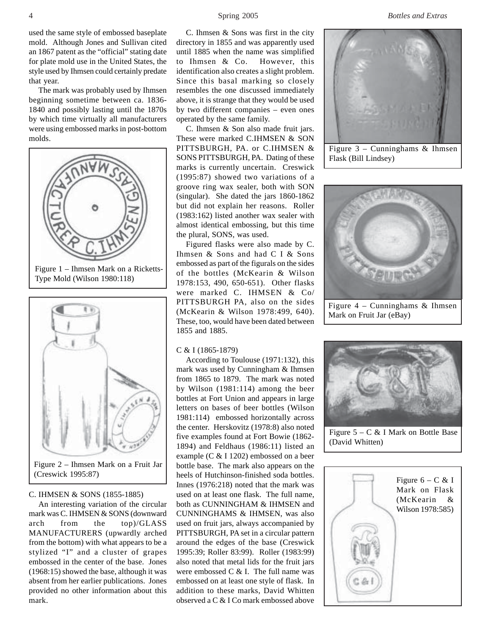used the same style of embossed baseplate mold. Although Jones and Sullivan cited an 1867 patent as the "official" stating date for plate mold use in the United States, the style used by Ihmsen could certainly predate that year.

The mark was probably used by Ihmsen beginning sometime between ca. 1836- 1840 and possibly lasting until the 1870s by which time virtually all manufacturers were using embossed marks in post-bottom molds.



Figure 2 – Ihmsen Mark on a Fruit Jar (Creswick 1995:87)

### C. IHMSEN & SONS (1855-1885)

An interesting variation of the circular mark was C. IHMSEN & SONS (downward arch from the top)/GLASS MANUFACTURERS (upwardly arched from the bottom) with what appears to be a stylized "I" and a cluster of grapes embossed in the center of the base. Jones (1968:15) showed the base, although it was absent from her earlier publications. Jones provided no other information about this mark.

C. Ihmsen & Sons was first in the city directory in 1855 and was apparently used until 1885 when the name was simplified to Ihmsen & Co. However, this identification also creates a slight problem. Since this basal marking so closely resembles the one discussed immediately above, it is strange that they would be used by two different companies – even ones operated by the same family.

C. Ihmsen & Son also made fruit jars. These were marked C.IHMSEN & SON PITTSBURGH, PA. or C.IHMSEN & SONS PITTSBURGH, PA. Dating of these marks is currently uncertain. Creswick (1995:87) showed two variations of a groove ring wax sealer, both with SON (singular). She dated the jars 1860-1862 but did not explain her reasons. Roller (1983:162) listed another wax sealer with almost identical embossing, but this time the plural, SONS, was used.

Figured flasks were also made by C. Ihmsen & Sons and had C I & Sons embossed as part of the figurals on the sides of the bottles (McKearin & Wilson 1978:153, 490, 650-651). Other flasks were marked C. IHMSEN & Co/ PITTSBURGH PA, also on the sides (McKearin & Wilson 1978:499, 640). These, too, would have been dated between 1855 and 1885.

### C & I (1865-1879)

According to Toulouse (1971:132), this mark was used by Cunningham & Ihmsen from 1865 to 1879. The mark was noted by Wilson (1981:114) among the beer bottles at Fort Union and appears in large letters on bases of beer bottles (Wilson 1981:114) embossed horizontally across the center. Herskovitz (1978:8) also noted five examples found at Fort Bowie (1862- 1894) and Feldhaus (1986:11) listed an example (C & I 1202) embossed on a beer bottle base. The mark also appears on the heels of Hutchinson-finished soda bottles. Innes (1976:218) noted that the mark was used on at least one flask. The full name, both as CUNNINGHAM & IHMSEN and CUNNINGHAMS & IHMSEN, was also used on fruit jars, always accompanied by PITTSBURGH, PA set in a circular pattern around the edges of the base (Creswick 1995:39; Roller 83:99). Roller (1983:99) also noted that metal lids for the fruit jars were embossed C & I. The full name was embossed on at least one style of flask. In addition to these marks, David Whitten observed a C & I Co mark embossed above

4 Spring 2005 *Bottles and Extras*



Figure 3 – Cunninghams & Ihmsen Flask (Bill Lindsey)



Figure 4 – Cunninghams & Ihmsen Mark on Fruit Jar (eBay)



Figure 5 – C & I Mark on Bottle Base (David Whitten)

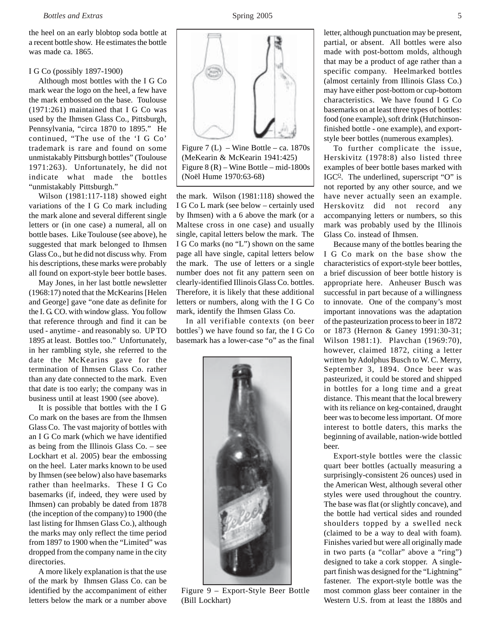the heel on an early blobtop soda bottle at a recent bottle show. He estimates the bottle was made ca. 1865.

### I G Co (possibly 1897-1900)

Although most bottles with the I G Co mark wear the logo on the heel, a few have the mark embossed on the base. Toulouse (1971:261) maintained that I G Co was used by the Ihmsen Glass Co., Pittsburgh, Pennsylvania, "circa 1870 to 1895." He continued, "The use of the 'I G Co' trademark is rare and found on some unmistakably Pittsburgh bottles" (Toulouse 1971:263). Unfortunately, he did not indicate what made the bottles "unmistakably Pittsburgh."

Wilson (1981:117-118) showed eight variations of the I G Co mark including the mark alone and several different single letters or (in one case) a numeral, all on bottle bases. Like Toulouse (see above), he suggested that mark belonged to Ihmsen Glass Co., but he did not discuss why. From his descriptions, these marks were probably all found on export-style beer bottle bases.

May Jones, in her last bottle newsletter (1968:17) noted that the McKearins [Helen and George] gave "one date as definite for the I. G. CO. with window glass. You follow that reference through and find it can be used - anytime - and reasonably so. UP TO 1895 at least. Bottles too." Unfortunately, in her rambling style, she referred to the date the McKearins gave for the termination of Ihmsen Glass Co. rather than any date connected to the mark. Even that date is too early; the company was in business until at least 1900 (see above).

It is possible that bottles with the I G Co mark on the bases are from the Ihmsen Glass Co. The vast majority of bottles with an I G Co mark (which we have identified as being from the Illinois Glass Co. – see Lockhart et al. 2005) bear the embossing on the heel. Later marks known to be used by Ihmsen (see below) also have basemarks rather than heelmarks. These I G Co basemarks (if, indeed, they were used by Ihmsen) can probably be dated from 1878 (the inception of the company) to 1900 (the last listing for Ihmsen Glass Co.), although the marks may only reflect the time period from 1897 to 1900 when the "Limited" was dropped from the company name in the city directories.

A more likely explanation is that the use of the mark by Ihmsen Glass Co. can be identified by the accompaniment of either letters below the mark or a number above



Figure 7 (L) – Wine Bottle – ca.  $1870s$ (MeKearin & McKearin 1941:425) Figure 8 (R) – Wine Bottle – mid-1800s (Noël Hume 1970:63-68)

the mark. Wilson (1981:118) showed the I G Co L mark (see below – certainly used by Ihmsen) with a 6 above the mark (or a Maltese cross in one case) and usually single, capital letters below the mark. The I G Co marks (no "L") shown on the same page all have single, capital letters below the mark. The use of letters or a single number does not fit any pattern seen on clearly-identified Illinois Glass Co. bottles. Therefore, it is likely that these additional letters or numbers, along with the I G Co mark, identify the Ihmsen Glass Co.

In all verifiable contexts (on beer bottles<sup>7</sup>) we have found so far, the I G Co basemark has a lower-case "o" as the final



Figure 9 – Export-Style Beer Bottle (Bill Lockhart)

letter, although punctuation may be present, partial, or absent. All bottles were also made with post-bottom molds, although that may be a product of age rather than a specific company. Heelmarked bottles (almost certainly from Illinois Glass Co.) may have either post-bottom or cup-bottom characteristics. We have found I G Co basemarks on at least three types of bottles: food (one example), soft drink (Hutchinsonfinished bottle - one example), and exportstyle beer bottles (numerous examples).

To further complicate the issue, Herskivitz (1978:8) also listed three examples of beer bottle bases marked with IGC $<sup>0</sup>$ . The underlined, superscript "O" is</sup> not reported by any other source, and we have never actually seen an example. Herskovitz did not record any accompanying letters or numbers, so this mark was probably used by the Illinois Glass Co. instead of Ihmsen.

Because many of the bottles bearing the I G Co mark on the base show the characteristics of export-style beer bottles, a brief discussion of beer bottle history is appropriate here. Anheuser Busch was successful in part because of a willingness to innovate. One of the company's most important innovations was the adaptation of the pasteurization process to beer in 1872 or 1873 (Hernon & Ganey 1991:30-31; Wilson 1981:1). Plavchan (1969:70), however, claimed 1872, citing a letter written by Adolphus Busch to W. C. Merry, September 3, 1894. Once beer was pasteurized, it could be stored and shipped in bottles for a long time and a great distance. This meant that the local brewery with its reliance on keg-contained, draught beer was to become less important. Of more interest to bottle daters, this marks the beginning of available, nation-wide bottled beer.

Export-style bottles were the classic quart beer bottles (actually measuring a surprisingly-consistent 26 ounces) used in the American West, although several other styles were used throughout the country. The base was flat (or slightly concave), and the bottle had vertical sides and rounded shoulders topped by a swelled neck (claimed to be a way to deal with foam). Finishes varied but were all originally made in two parts (a "collar" above a "ring") designed to take a cork stopper. A singlepart finish was designed for the "Lightning" fastener. The export-style bottle was the most common glass beer container in the Western U.S. from at least the 1880s and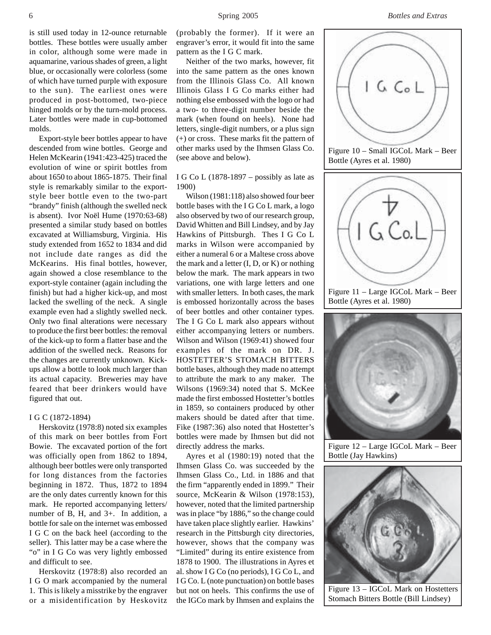is still used today in 12-ounce returnable bottles. These bottles were usually amber in color, although some were made in aquamarine, various shades of green, a light blue, or occasionally were colorless (some of which have turned purple with exposure to the sun). The earliest ones were produced in post-bottomed, two-piece hinged molds or by the turn-mold process. Later bottles were made in cup-bottomed molds.

Export-style beer bottles appear to have descended from wine bottles. George and Helen McKearin (1941:423-425) traced the evolution of wine or spirit bottles from about 1650 to about 1865-1875. Their final style is remarkably similar to the exportstyle beer bottle even to the two-part "brandy" finish (although the swelled neck is absent). Ivor Noël Hume (1970:63-68) presented a similar study based on bottles excavated at Williamsburg, Virginia. His study extended from 1652 to 1834 and did not include date ranges as did the McKearins. His final bottles, however, again showed a close resemblance to the export-style container (again including the finish) but had a higher kick-up, and most lacked the swelling of the neck. A single example even had a slightly swelled neck. Only two final alterations were necessary to produce the first beer bottles: the removal of the kick-up to form a flatter base and the addition of the swelled neck. Reasons for the changes are currently unknown. Kickups allow a bottle to look much larger than its actual capacity. Breweries may have feared that beer drinkers would have figured that out.

### I G C (1872-1894)

Herskovitz (1978:8) noted six examples of this mark on beer bottles from Fort Bowie. The excavated portion of the fort was officially open from 1862 to 1894, although beer bottles were only transported for long distances from the factories beginning in 1872. Thus, 1872 to 1894 are the only dates currently known for this mark. He reported accompanying letters/ number of B, H, and 3+. In addition, a bottle for sale on the internet was embossed I G C on the back heel (according to the seller). This latter may be a case where the "o" in I G Co was very lightly embossed and difficult to see.

Herskovitz (1978:8) also recorded an I G O mark accompanied by the numeral 1. This is likely a misstrike by the engraver or a misidentification by Heskovitz (probably the former). If it were an engraver's error, it would fit into the same pattern as the I G C mark.

Neither of the two marks, however, fit into the same pattern as the ones known from the Illinois Glass Co. All known Illinois Glass I G Co marks either had nothing else embossed with the logo or had a two- to three-digit number beside the mark (when found on heels). None had letters, single-digit numbers, or a plus sign (+) or cross. These marks fit the pattern of other marks used by the Ihmsen Glass Co. (see above and below).

# I G Co L  $(1878-1897 -$  possibly as late as 1900)

Wilson (1981:118) also showed four beer bottle bases with the I G Co L mark, a logo also observed by two of our research group, David Whitten and Bill Lindsey, and by Jay Hawkins of Pittsburgh. Thes I G Co L marks in Wilson were accompanied by either a numeral 6 or a Maltese cross above the mark and a letter (I, D, or K) or nothing below the mark. The mark appears in two variations, one with large letters and one with smaller letters. In both cases, the mark is embossed horizontally across the bases of beer bottles and other container types. The I G Co L mark also appears without either accompanying letters or numbers. Wilson and Wilson (1969:41) showed four examples of the mark on DR. J. HOSTETTER'S STOMACH BITTERS bottle bases, although they made no attempt to attribute the mark to any maker. The Wilsons (1969:34) noted that S. McKee made the first embossed Hostetter's bottles in 1859, so containers produced by other makers should be dated after that time. Fike (1987:36) also noted that Hostetter's bottles were made by Ihmsen but did not directly address the marks.

Ayres et al (1980:19) noted that the Ihmsen Glass Co. was succeeded by the Ihmsen Glass Co., Ltd. in 1886 and that the firm "apparently ended in 1899." Their source, McKearin & Wilson (1978:153), however, noted that the limited partnership was in place "by 1886," so the change could have taken place slightly earlier. Hawkins' research in the Pittsburgh city directories, however, shows that the company was "Limited" during its entire existence from 1878 to 1900. The illustrations in Ayres et al. show I G Co (no periods), I G Co L, and I G Co. L (note punctuation) on bottle bases but not on heels. This confirms the use of the IGCo mark by Ihmsen and explains the



Figure 12 – Large IGCoL Mark – Beer Bottle (Jay Hawkins)



Figure 13 – IGCoL Mark on Hostetters Stomach Bitters Bottle (Bill Lindsey)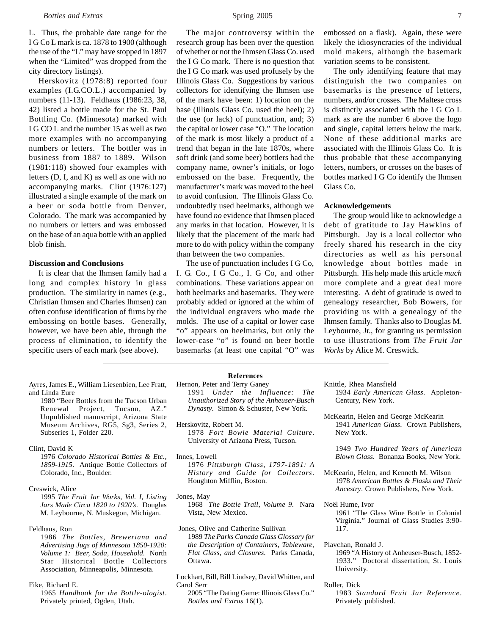L. Thus, the probable date range for the I G Co L mark is ca. 1878 to 1900 (although the use of the "L" may have stopped in 1897 when the "Limited" was dropped from the city directory listings).

Herskovitz (1978:8) reported four examples (I.G.CO.L.) accompanied by numbers (11-13). Feldhaus (1986:23, 38, 42) listed a bottle made for the St. Paul Bottling Co. (Minnesota) marked with I G CO L and the number 15 as well as two more examples with no accompanying numbers or letters. The bottler was in business from 1887 to 1889. Wilson (1981:118) showed four examples with letters (D, I, and K) as well as one with no accompanying marks. Clint (1976:127) illustrated a single example of the mark on a beer or soda bottle from Denver, Colorado. The mark was accompanied by no numbers or letters and was embossed on the base of an aqua bottle with an applied blob finish.

# **Discussion and Conclusions**

It is clear that the Ihmsen family had a long and complex history in glass production. The similarity in names (e.g., Christian Ihmsen and Charles Ihmsen) can often confuse identification of firms by the embossing on bottle bases. Generally, however, we have been able, through the process of elimination, to identify the specific users of each mark (see above).

- Ayres, James E., William Liesenbien, Lee Fratt, and Linda Eure
	- 1980 "Beer Bottles from the Tucson Urban Renewal Project, Tucson, AZ." Unpublished manuscript, Arizona State Museum Archives, RG5, Sg3, Series 2, Subseries 1, Folder 220.
- Clint, David K

1976 *Colorado Historical Bottles & Etc., 1859-1915*. Antique Bottle Collectors of Colorado, Inc., Boulder.

Creswick, Alice

1995 *The Fruit Jar Works, Vol. I, Listing Jars Made Circa 1820 to 1920's*. Douglas M. Leybourne, N. Muskegon, Michigan.

Feldhaus, Ron

1986 *The Bottles, Breweriana and Advertising Jugs of Minnesota 1850-1920: Volume 1: Beer, Soda, Household*. North Star Historical Bottle Collectors Association, Minneapolis, Minnesota.

Fike, Richard E.

1965 *Handbook for the Bottle-ologist*. Privately printed, Ogden, Utah.

The major controversy within the research group has been over the question of whether or not the Ihmsen Glass Co. used the I G Co mark. There is no question that the I G Co mark was used profusely by the Illinois Glass Co. Suggestions by various collectors for identifying the Ihmsen use of the mark have been: 1) location on the base (Illinois Glass Co. used the heel); 2) the use (or lack) of punctuation, and; 3) the capital or lower case "O." The location of the mark is most likely a product of a trend that began in the late 1870s, where soft drink (and some beer) bottlers had the company name, owner's initials, or logo embossed on the base. Frequently, the manufacturer's mark was moved to the heel to avoid confusion. The Illinois Glass Co. undoubtedly used heelmarks, although we have found *no* evidence that Ihmsen placed any marks in that location. However, it is likely that the placement of the mark had more to do with policy within the company than between the two companies.

The use of punctuation includes I G Co, I. G. Co., I G Co., I. G Co, and other combinations. These variations appear on both heelmarks and basemarks. They were probably added or ignored at the whim of the individual engravers who made the molds. The use of a capital or lower case "o" appears on heelmarks, but only the lower-case "o" is found on beer bottle basemarks (at least one capital "O" was embossed on a flask). Again, these were likely the idiosyncracies of the individual mold makers, although the basemark variation seems to be consistent.

The only identifying feature that may distinguish the two companies on basemarks is the presence of letters, numbers, and/or crosses. The Maltese cross is distinctly associated with the I G Co L mark as are the number 6 above the logo and single, capital letters below the mark. None of these additional marks are associated with the Illinois Glass Co. It is thus probable that these accompanying letters, numbers, or crosses on the bases of bottles marked I G Co identify the Ihmsen Glass Co.

### **Acknowledgements**

The group would like to acknowledge a debt of gratitude to Jay Hawkins of Pittsburgh. Jay is a local collector who freely shared his research in the city directories as well as his personal knowledge about bottles made in Pittsburgh. His help made this article *much* more complete and a great deal more interesting. A debt of gratitude is owed to genealogy researcher, Bob Bowers, for providing us with a genealogy of the Ihmsen family. Thanks also to Douglas M. Leybourne, Jr., for granting us permission to use illustrations from *The Fruit Jar Works* by Alice M. Creswick.

# **References**

Hernon, Peter and Terry Ganey 1991 *Under the Influence: The Unauthorized Story of the Anheuser-Busch Dynasty*. Simon & Schuster, New York.

- Herskovitz, Robert M. 1978 *Fort Bowie Material Culture*. University of Arizona Press, Tucson.
- Innes, Lowell

1976 *Pittsburgh Glass, 1797-1891: A History and Guide for Collectors*. Houghton Mifflin, Boston.

- Jones, May 1968 *The Bottle Trail, Volume 9*. Nara Vista, New Mexico.
- Jones, Olive and Catherine Sullivan 1989 *The Parks Canada Glass Glossary for the Description of Containers, Tableware, Flat Glass, and Closures*. Parks Canada, Ottawa.

Lockhart, Bill, Bill Lindsey, David Whitten, and Carol Serr

2005 "The Dating Game: Illinois Glass Co." *Bottles and Extras* 16(1).

Knittle, Rhea Mansfield

- 1934 *Early American Glass*. Appleton-Century, New York.
- McKearin, Helen and George McKearin 1941 *American Glass*. Crown Publishers, New York.

1949 *Two Hundred Years of American Blown Glass*. Bonanza Books, New York.

- McKearin, Helen, and Kenneth M. Wilson 1978 *American Bottles & Flasks and Their Ancestry*. Crown Publishers, New York.
- Noël Hume, Ivor 1961 "The Glass Wine Bottle in Colonial

Virginia." Journal of Glass Studies 3:90- 117.

Plavchan, Ronald J.

1969 "A History of Anheuser-Busch, 1852- 1933." Doctoral dissertation, St. Louis University.

Roller, Dick

1983 *Standard Fruit Jar Reference*. Privately published.